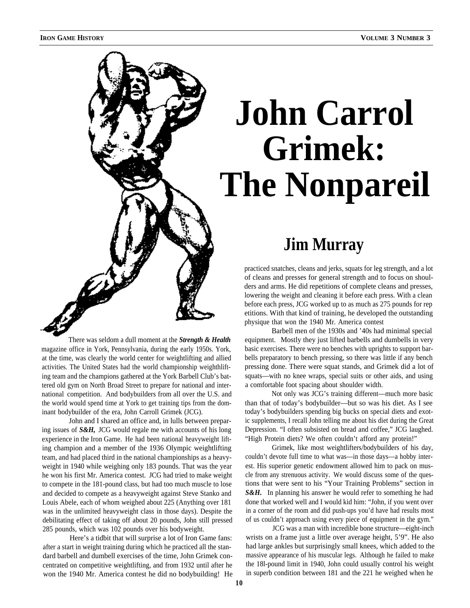

There was seldom a dull moment at the *Strength & Health* magazine office in York, Pennsylvania, during the early 1950s. York, at the time, was clearly the world center for weightlifting and allied activities. The United States had the world championship weighthlifting team and the champions gathered at the York Barbell Club's battered old gym on North Broad Street to prepare for national and international competition. And bodybuilders from all over the U.S. and the world would spend time at York to get training tips from the dominant bodybuilder of the era, John Carroll Grimek (JCG).

John and I shared an office and, in lulls between preparing issues of *S&H,* JCG would regale me with accounts of his long experience in the Iron Game. He had been national heavyweight lifting champion and a member of the 1936 Olympic weightlifting team, and had placed third in the national championships as a heavyweight in 1940 while weighing only 183 pounds. That was the year he won his first Mr. America contest. JCG had tried to make weight to compete in the 181-pound class, but had too much muscle to lose and decided to compete as a heavyweight against Steve Stanko and Louis Abele, each of whom weighed about 225 (Anything over 181 was in the unlimited heavyweight class in those days). Despite the debilitating effect of taking off about 20 pounds, John still pressed 285 pounds, which was 102 pounds over his bodyweight.

Here's a tidbit that will surprise a lot of Iron Game fans: after a start in weight training during which he practiced all the standard barbell and dumbell exercises of the time, John Grimek concentrated on competitive weightlifting, and from 1932 until after he won the 1940 Mr. America contest he did no bodybuilding! He

## **John Carrol Grimek: The Nonpareil**

## **Jim Murray**

practiced snatches, cleans and jerks, squats for leg strength, and a lot of cleans and presses for general strength and to focus on shoulders and arms. He did repetitions of complete cleans and presses, lowering the weight and cleaning it before each press. With a clean before each press, JCG worked up to as much as 275 pounds for rep etitions. With that kind of training, he developed the outstanding physique that won the 1940 Mr. America contest

Barbell men of the 1930s and '40s had minimal special equipment. Mostly they just lifted barbells and dumbells in very basic exercises. There were no benches with uprights to support barbells preparatory to bench pressing, so there was little if any bench pressing done. There were squat stands, and Grimek did a lot of squats—with no knee wraps, special suits or other aids, and using a comfortable foot spacing about shoulder width.

Not only was JCG's training different—much more basic than that of today's bodybuilder—but so was his diet. As I see today's bodybuilders spending big bucks on special diets and exotic supplements, I recall John telling me about his diet during the Great Depression. "I often subsisted on bread and coffee," JCG laughed. "High Protein diets? We often couldn't afford any protein!"

Grimek, like most weightlifters/bodybuilders of his day, couldn't devote full time to what was—in those days—a hobby interest. His superior genetic endowment allowed him to pack on muscle from any strenuous activity. We would discuss some of the questions that were sent to his "Your Training Problems" section in *S&H.* In planning his answer he would refer to something he had done that worked well and I would kid him: "John, if you went over in a corner of the room and did push-ups you'd have had results most of us couldn't approach using every piece of equipment in the gym."

JCG was a man with incredible bone structure—eight-inch wrists on a frame just a little over average height, 5'9". He also had large ankles but surprisingly small knees, which added to the massive appearance of his muscular legs. Although he failed to make the 18l-pound limit in 1940, John could usually control his weight in superb condition between 181 and the 221 he weighed when he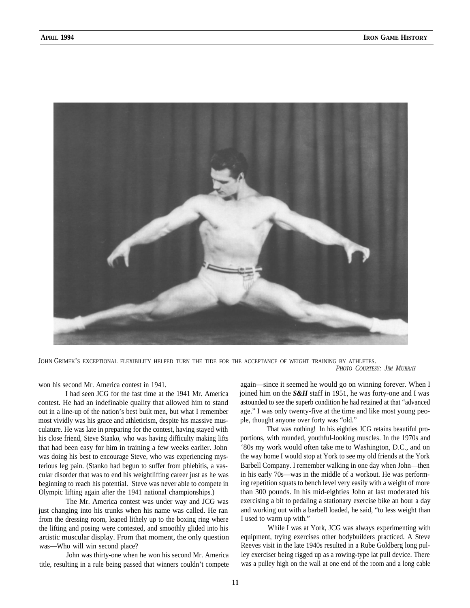

JOHN GRIMEK'S EXCEPTIONAL FLEXIBILITY HELPED TURN THE TIDE FOR THE ACCEPTANCE OF WEIGHT TRAINING BY ATHLETES. *PHOTO COURTESY: JIM MURRAY*

won his second Mr. America contest in 1941.

I had seen JCG for the fast time at the 1941 Mr. America contest. He had an indefinable quality that allowed him to stand out in a line-up of the nation's best built men, but what I remember most vividly was his grace and athleticism, despite his massive musculature. He was late in preparing for the contest, having stayed with his close friend, Steve Stanko, who was having difficulty making lifts that had been easy for him in training a few weeks earlier. John was doing his best to encourage Steve, who was experiencing mysterious leg pain. (Stanko had begun to suffer from phlebitis, a vascular disorder that was to end his weightlifting career just as he was beginning to reach his potential. Steve was never able to compete in Olympic lifting again after the 1941 national championships.)

The Mr. America contest was under way and JCG was just changing into his trunks when his name was called. He ran from the dressing room, leaped lithely up to the boxing ring where the lifting and posing were contested, and smoothly glided into his artistic muscular display. From that moment, the only question was—Who will win second place?

John was thirty-one when he won his second Mr. America title, resulting in a rule being passed that winners couldn't compete

again—since it seemed he would go on winning forever. When I joined him on the *S&H* staff in 1951, he was forty-one and I was astounded to see the superb condition he had retained at that "advanced age." I was only twenty-five at the time and like most young people, thought anyone over forty was "old."

That was nothing! In his eighties JCG retains beautiful proportions, with rounded, youthful-looking muscles. In the 1970s and '80s my work would often take me to Washington, D.C., and on the way home I would stop at York to see my old friends at the York Barbell Company. I remember walking in one day when John—then in his early 70s—was in the middle of a workout. He was performing repetition squats to bench level very easily with a weight of more than 300 pounds. In his mid-eighties John at last moderated his exercising a bit to pedaling a stationary exercise bike an hour a day and working out with a barbell loaded, he said, "to less weight than I used to warm up with."

While I was at York, JCG was always experimenting with equipment, trying exercises other bodybuilders practiced. A Steve Reeves visit in the late 1940s resulted in a Rube Goldberg long pulley exerciser being rigged up as a rowing-type lat pull device. There was a pulley high on the wall at one end of the room and a long cable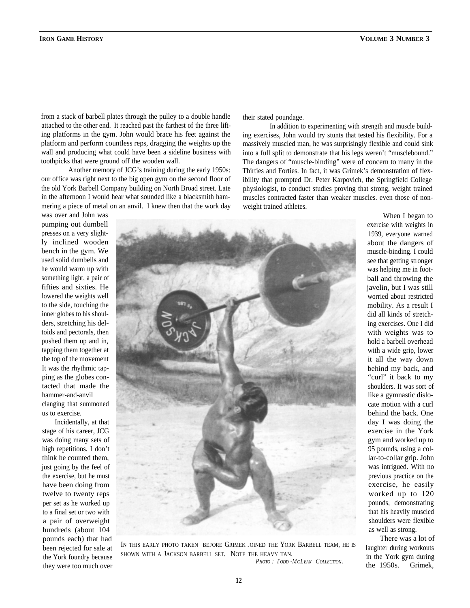from a stack of barbell plates through the pulley to a double handle attached to the other end. It reached past the farthest of the three lifting platforms in the gym. John would brace his feet against the platform and perform countless reps, dragging the weights up the wall and producing what could have been a sideline business with toothpicks that were ground off the wooden wall.

Another memory of JCG's training during the early 1950s: our office was right next to the big open gym on the second floor of the old York Barbell Company building on North Broad street. Late in the afternoon I would hear what sounded like a blacksmith hammering a piece of metal on an anvil. I knew then that the work day weight trained athletes.

their stated poundage.

In addition to experimenting with strength and muscle building exercises, John would try stunts that tested his flexibility. For a massively muscled man, he was surprisingly flexible and could sink into a full split to demonstrate that his legs weren't "musclebound." The dangers of "muscle-binding" were of concern to many in the Thirties and Forties. In fact, it was Grimek's demonstration of flexibility that prompted Dr. Peter Karpovich, the Springfield College physiologist, to conduct studies proving that strong, weight trained muscles contracted faster than weaker muscles. even those of non-

was over and John was pumping out dumbell presses on a very slightly inclined wooden bench in the gym. We used solid dumbells and he would warm up with something light, a pair of fifties and sixties. He lowered the weights well to the side, touching the inner globes to his shoulders, stretching his deltoids and pectorals, then pushed them up and in, tapping them together at the top of the movement It was the rhythmic tapping as the globes contacted that made the hammer-and-anvil clanging that summoned us to exercise.

Incidentally, at that stage of his career, JCG was doing many sets of high repetitions. I don't think he counted them, just going by the feel of the exercise, but he must have been doing from twelve to twenty reps per set as he worked up to a final set or two with a pair of overweight hundreds (about 104 pounds each) that had been rejected for sale at the York foundry because they were too much over



IN THIS EARLY PHOTO TAKEN BEFORE GRIMEK JOINED THE YORK BARBELL TEAM, HE IS SHOWN WITH A JACKSON BARBELL SET. NOTE THE HEAVY TAN.

*PHOTO : T ODD -MCLEAN COLLECTION .*

When I began to exercise with weights in 1939, everyone warned about the dangers of muscle-binding. I could see that getting stronger was helping me in football and throwing the javelin, but I was still worried about restricted mobility. As a result I did all kinds of stretching exercises. One I did with weights was to hold a barbell overhead with a wide grip, lower it all the way down behind my back, and "curl" it back to my shoulders. It was sort of like a gymnastic dislocate motion with a curl behind the back. One day I was doing the exercise in the York gym and worked up to 95 pounds, using a collar-to-collar grip. John was intrigued. With no previous practice on the exercise, he easily worked up to 120 pounds, demonstrating that his heavily muscled shoulders were flexible as well as strong.

There was a lot of laughter during workouts in the York gym during the 1950s. Grimek,